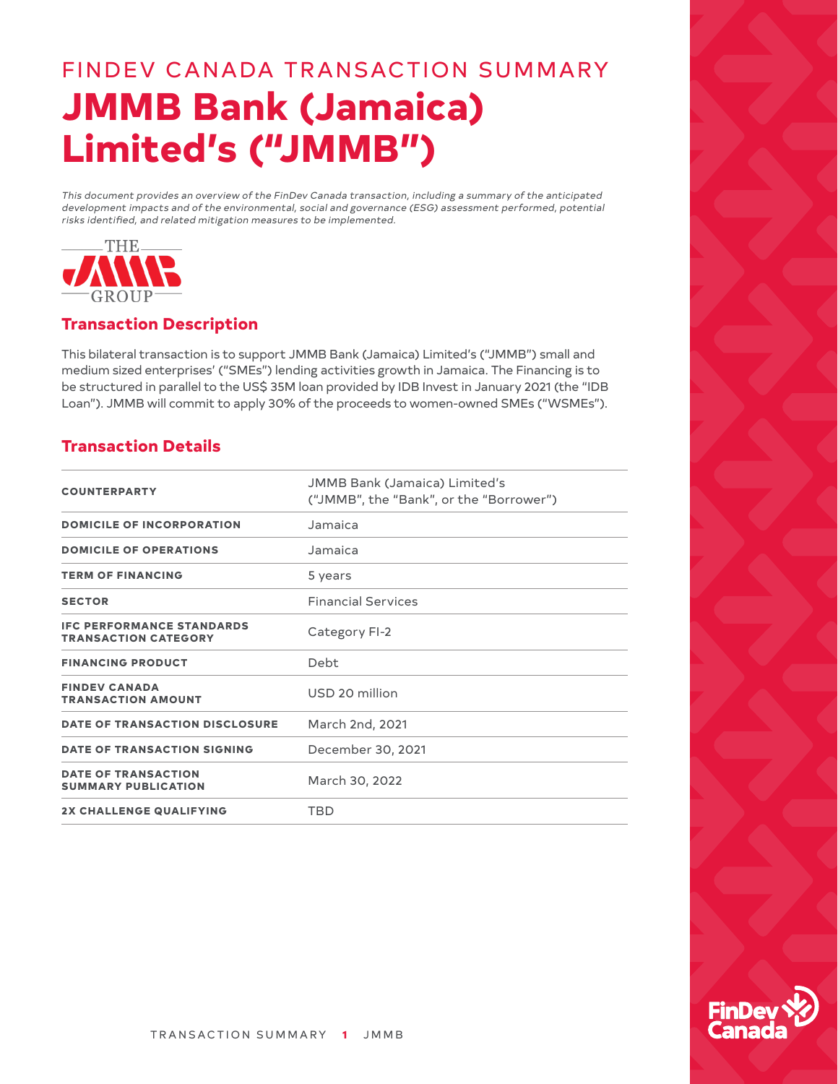# FINDEV CANADA TRANSACTION SUMMARY **JMMB Bank (Jamaica) Limited's ("JMMB")**

This document provides an overview of the FinDev Canada transaction, including a summary of the anticipated development impacts and of the environmental, social and governance (ESG) assessment performed, potential risks identified, and related mitigation measures to be implemented.



## **Transaction Description**

This bilateral transaction is to support JMMB Bank (Jamaica) Limited's ("JMMB") small and medium sized enterprises' ("SMEs") lending activities growth in Jamaica. The Financing is to be structured in parallel to the US\$ 35M loan provided by IDB Invest in January 2021 (the "IDB Loan"). JMMB will commit to apply 30% of the proceeds to women-owned SMEs ("WSMEs").

#### **Transaction Details**

| <b>COUNTERPARTY</b>                                             | <b>JMMB Bank (Jamaica) Limited's</b><br>("JMMB", the "Bank", or the "Borrower") |
|-----------------------------------------------------------------|---------------------------------------------------------------------------------|
| <b>DOMICILE OF INCORPORATION</b>                                | Jamaica                                                                         |
| <b>DOMICILE OF OPERATIONS</b>                                   | Jamaica                                                                         |
| <b>TERM OF FINANCING</b>                                        | 5 years                                                                         |
| <b>SECTOR</b>                                                   | <b>Financial Services</b>                                                       |
| <b>IFC PERFORMANCE STANDARDS</b><br><b>TRANSACTION CATEGORY</b> | Category FI-2                                                                   |
| <b>FINANCING PRODUCT</b>                                        | Debt                                                                            |
| <b>FINDEV CANADA</b><br><b>TRANSACTION AMOUNT</b>               | USD 20 million                                                                  |
| DATE OF TRANSACTION DISCLOSURE                                  | March 2nd, 2021                                                                 |
| <b>DATE OF TRANSACTION SIGNING</b>                              | December 30, 2021                                                               |
| <b>DATE OF TRANSACTION</b><br><b>SUMMARY PUBLICATION</b>        | March 30, 2022                                                                  |
| <b>2X CHALLENGE QUALIFYING</b>                                  | <b>TBD</b>                                                                      |

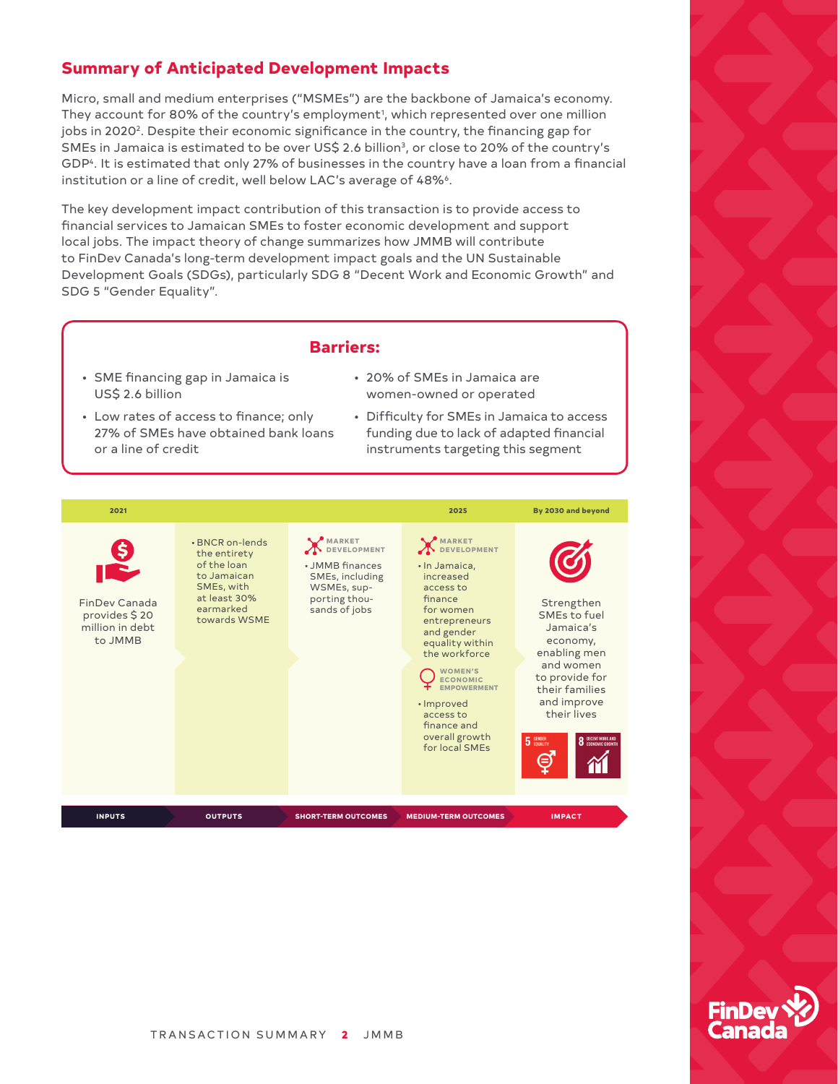### **Summary of Anticipated Development Impacts**

Micro, small and medium enterprises ("MSMEs") are the backbone of Jamaica's economy. They account for 80% of the country's employment<sup>1</sup>, which represented over one million jobs in 2020<sup>2</sup>. Despite their economic significance in the country, the financing gap for SMEs in Jamaica is estimated to be over US\$ 2.6 billion<sup>3</sup>, or close to 20% of the country's GDP<sup>4</sup>. It is estimated that only 27% of businesses in the country have a loan from a financial institution or a line of credit, well below LAC's average of 48%<sup>6</sup>.

The key development impact contribution of this transaction is to provide access to financial services to Jamaican SMEs to foster economic development and support local jobs. The impact theory of change summarizes how JMMB will contribute to FinDev Canada's long‑term development impact goals and the UN Sustainable Development Goals (SDGs), particularly SDG 8 "Decent Work and Economic Growth" and SDG 5 "Gender Equality".

#### **Barriers:**

- SME financing gap in Jamaica is US\$ 2.6 billion
- 20% of SMEs in Jamaica are women‑owned or operated
- Low rates of access to finance; only 27% of SMEs have obtained bank loans or a line of credit
- Difficulty for SMEs in Jamaica to access funding due to lack of adapted financial instruments targeting this segment



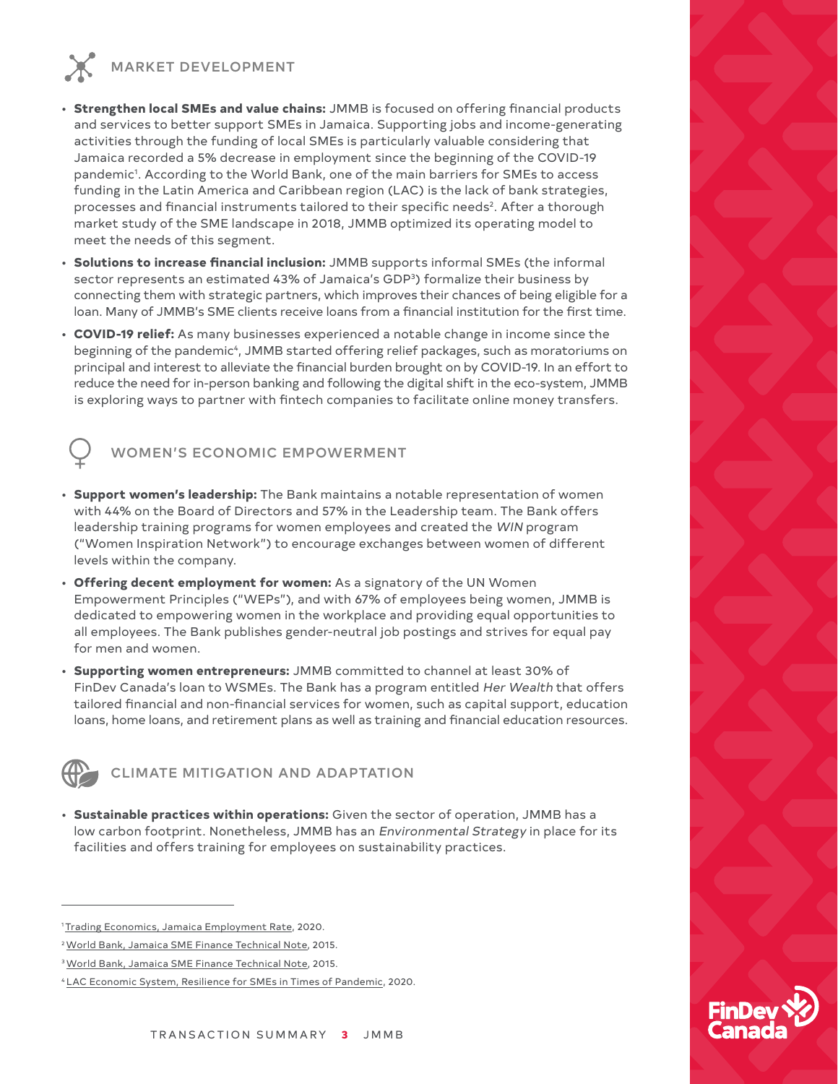MARKET DEVELOPMENT

- **Strengthen local SMEs and value chains:** JMMB is focused on offering financial products and services to better support SMEs in Jamaica. Supporting jobs and income‑generating activities through the funding of local SMEs is particularly valuable considering that Jamaica recorded a 5% decrease in employment since the beginning of the COVID‑19 pandemic1 . According to the World Bank, one of the main barriers for SMEs to access funding in the Latin America and Caribbean region (LAC) is the lack of bank strategies, processes and financial instruments tailored to their specific needs<sup>2</sup>. After a thorough market study of the SME landscape in 2018, JMMB optimized its operating model to meet the needs of this segment.
- **Solutions to increase financial inclusion:** JMMB supports informal SMEs (the informal sector represents an estimated 43% of Jamaica's GDP<sup>3</sup>) formalize their business by connecting them with strategic partners, which improves their chances of being eligible for a loan. Many of JMMB's SME clients receive loans from a financial institution for the first time.
- **COVID‑19 relief:** As many businesses experienced a notable change in income since the beginning of the pandemic<sup>4</sup>, JMMB started offering relief packages, such as moratoriums on principal and interest to alleviate the financial burden brought on by COVID-19. In an effort to reduce the need for in-person banking and following the digital shift in the eco-system, JMMB is exploring ways to partner with fintech companies to facilitate online money transfers.



- **Support women's leadership:** The Bank maintains a notable representation of women with 44% on the Board of Directors and 57% in the Leadership team. The Bank offers leadership training programs for women employees and created the WIN program ("Women Inspiration Network") to encourage exchanges between women of different levels within the company.
- **Offering decent employment for women:** As a signatory of the UN Women Empowerment Principles ("WEPs"), and with 67% of employees being women, JMMB is dedicated to empowering women in the workplace and providing equal opportunities to all employees. The Bank publishes gender‑neutral job postings and strives for equal pay for men and women.
- **Supporting women entrepreneurs:** JMMB committed to channel at least 30% of FinDev Canada's loan to WSMEs. The Bank has a program entitled Her Wealth that offers tailored financial and non‑financial services for women, such as capital support, education loans, home loans, and retirement plans as well as training and financial education resources.



CLIMATE MITIGATION AND ADAPTATION

• **Sustainable practices within operations:** Given the sector of operation, JMMB has a low carbon footprint. Nonetheless, JMMB has an Environmental Strategy in place for its facilities and offers training for employees on sustainability practices.



<sup>&</sup>lt;sup>1</sup> [Trading Economics, Jamaica Employment Rate,](https://tradingeconomics.com/jamaica/employment-rate) 2020.

<sup>2</sup> [World Bank, Jamaica SME Finance Technical Note,](https://openknowledge.worldbank.org/bitstream/handle/10986/21909/Jamaica000SME0finance000technical0note.pdf?sequence=1&isAllowed=y) 2015.

<sup>&</sup>lt;sup>3</sup> [World Bank, Jamaica SME Finance Technical Note,](https://openknowledge.worldbank.org/bitstream/handle/10986/21909/Jamaica000SME0finance000technical0note.pdf?sequence=1&isAllowed=y) 2015.

<sup>4</sup> [LAC Economic System, Resilience for SMEs in Times of Pandemic](http://www.sela.org/en/events/e/66381/resilience-for-smes-in-times-of-pandemic), 2020.